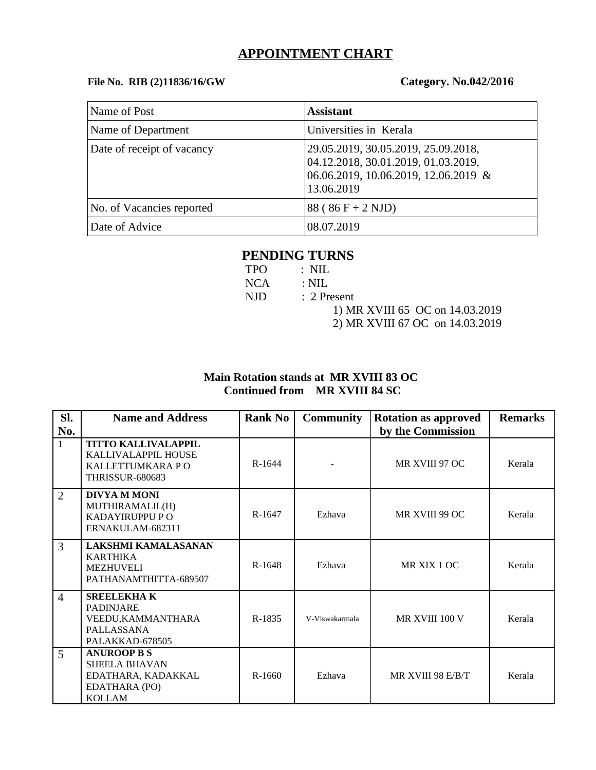## **APPOINTMENT CHART**

### **File No. RIB (2)11836/16/GW Category. No.042/2016**

| Name of Post               | <b>Assistant</b>                                                                                                                 |
|----------------------------|----------------------------------------------------------------------------------------------------------------------------------|
| Name of Department         | Universities in Kerala                                                                                                           |
| Date of receipt of vacancy | 29.05.2019, 30.05.2019, 25.09.2018,<br>04.12.2018, 30.01.2019, 01.03.2019,<br>06.06.2019, 10.06.2019, 12.06.2019 &<br>13.06.2019 |
| No. of Vacancies reported  | $88 ( 86 F + 2 NJD)$                                                                                                             |
| Date of Advice             | 08.07.2019                                                                                                                       |

# **PENDING TURNS**

| TPO – | $\therefore$ NIL                |
|-------|---------------------------------|
| NCA – | $\therefore$ NIL.               |
| NJD - | : 2 Present                     |
|       | 1) MR XVIII 65 OC on 14.03.2019 |
|       | 2) MR XVIII 67 OC on 14.03.2019 |

## **Main Rotation stands at MR XVIII 83 OC Continued from MR XVIII 84 SC**

| SI.            | <b>Name and Address</b>                                                                            | <b>Rank No</b> | <b>Community</b> | <b>Rotation as approved</b> | <b>Remarks</b> |
|----------------|----------------------------------------------------------------------------------------------------|----------------|------------------|-----------------------------|----------------|
| No.            |                                                                                                    |                |                  | by the Commission           |                |
| $\mathbf{1}$   | <b>TITTO KALLIVALAPPIL</b><br>KALLIVALAPPIL HOUSE<br>KALLETTUMKARA PO<br><b>THRISSUR-680683</b>    | R-1644         |                  | MR XVIII 97 OC              | Kerala         |
| $\overline{2}$ | <b>DIVYA M MONI</b><br>MUTHIRAMALIL(H)<br><b>KADAYIRUPPU P O</b><br>ERNAKULAM-682311               | R-1647         | Ezhava           | MR XVIII 99 OC              | Kerala         |
| 3              | <b>LAKSHMI KAMALASANAN</b><br><b>KARTHIKA</b><br>MEZHUVELI<br>PATHANAMTHITTA-689507                | R-1648         | Ezhava           | MR XIX 1 OC                 | Kerala         |
| $\overline{4}$ | <b>SREELEKHAK</b><br><b>PADINJARE</b><br>VEEDU, KAMMANTHARA<br>PALLASSANA<br>PALAKKAD-678505       | R-1835         | V-Viswakarmala   | MR XVIII 100 V              | Kerala         |
| 5              | <b>ANUROOP B S</b><br><b>SHEELA BHAVAN</b><br>EDATHARA, KADAKKAL<br>EDATHARA (PO)<br><b>KOLLAM</b> | R-1660         | Ezhava           | MR XVIII 98 E/B/T           | Kerala         |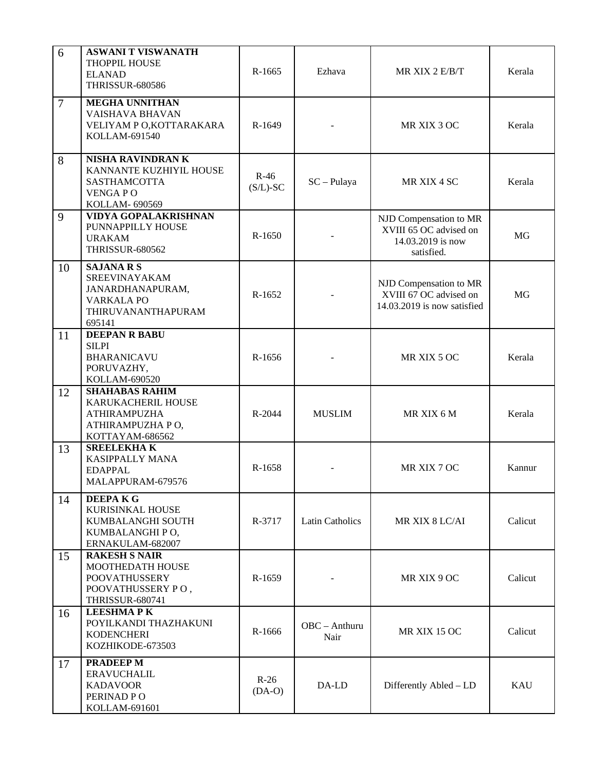| 6              | <b>ASWANI T VISWANATH</b><br>THOPPIL HOUSE<br><b>ELANAD</b><br>THRISSUR-680586                              | R-1665                | Ezhava                  | MR XIX 2 E/B/T                                                                      | Kerala     |
|----------------|-------------------------------------------------------------------------------------------------------------|-----------------------|-------------------------|-------------------------------------------------------------------------------------|------------|
| $\overline{7}$ | <b>MEGHA UNNITHAN</b><br>VAISHAVA BHAVAN<br>VELIYAM P O, KOTTARAKARA<br>KOLLAM-691540                       | R-1649                |                         | MR XIX 3 OC                                                                         | Kerala     |
| 8              | NISHA RAVINDRAN K<br>KANNANTE KUZHIYIL HOUSE<br>SASTHAMCOTTA<br><b>VENGAPO</b><br>KOLLAM- 690569            | $R-46$<br>$(S/L)$ -SC | $SC - Pulaya$           | MR XIX 4 SC                                                                         | Kerala     |
| 9              | VIDYA GOPALAKRISHNAN<br>PUNNAPPILLY HOUSE<br><b>URAKAM</b><br><b>THRISSUR-680562</b>                        | R-1650                |                         | NJD Compensation to MR<br>XVIII 65 OC advised on<br>14.03.2019 is now<br>satisfied. | MG         |
| 10             | <b>SAJANA R S</b><br>SREEVINAYAKAM<br>JANARDHANAPURAM,<br><b>VARKALA PO</b><br>THIRUVANANTHAPURAM<br>695141 | R-1652                |                         | NJD Compensation to MR<br>XVIII 67 OC advised on<br>14.03.2019 is now satisfied     | MG         |
| 11             | <b>DEEPAN R BABU</b><br><b>SILPI</b><br><b>BHARANICAVU</b><br>PORUVAZHY,<br>KOLLAM-690520                   | R-1656                |                         | MR XIX 5 OC                                                                         | Kerala     |
| 12             | <b>SHAHABAS RAHIM</b><br>KARUKACHERIL HOUSE<br><b>ATHIRAMPUZHA</b><br>ATHIRAMPUZHA PO,<br>KOTTAYAM-686562   | R-2044                | <b>MUSLIM</b>           | MR XIX 6 M                                                                          | Kerala     |
| 13             | <b>SREELEKHAK</b><br>KASIPPALLY MANA<br><b>EDAPPAL</b><br>MALAPPURAM-679576                                 | R-1658                |                         | MR XIX 7 OC                                                                         | Kannur     |
| 14             | <b>DEEPAKG</b><br>KURISINKAL HOUSE<br>KUMBALANGHI SOUTH<br>KUMBALANGHI PO,<br>ERNAKULAM-682007              | R-3717                | <b>Latin Catholics</b>  | MR XIX 8 LC/AI                                                                      | Calicut    |
| 15             | <b>RAKESH S NAIR</b><br>MOOTHEDATH HOUSE<br>POOVATHUSSERY<br>POOVATHUSSERY PO,<br><b>THRISSUR-680741</b>    | R-1659                |                         | MR XIX 9 OC                                                                         | Calicut    |
| 16             | <b>LEESHMAPK</b><br>POYILKANDI THAZHAKUNI<br><b>KODENCHERI</b><br>KOZHIKODE-673503                          | R-1666                | $OBC - Anthuru$<br>Nair | MR XIX 15 OC                                                                        | Calicut    |
| 17             | <b>PRADEEP M</b><br><b>ERAVUCHALIL</b><br><b>KADAVOOR</b><br>PERINAD PO<br>KOLLAM-691601                    | $R-26$<br>$(DA-O)$    | DA-LD                   | Differently Abled - LD                                                              | <b>KAU</b> |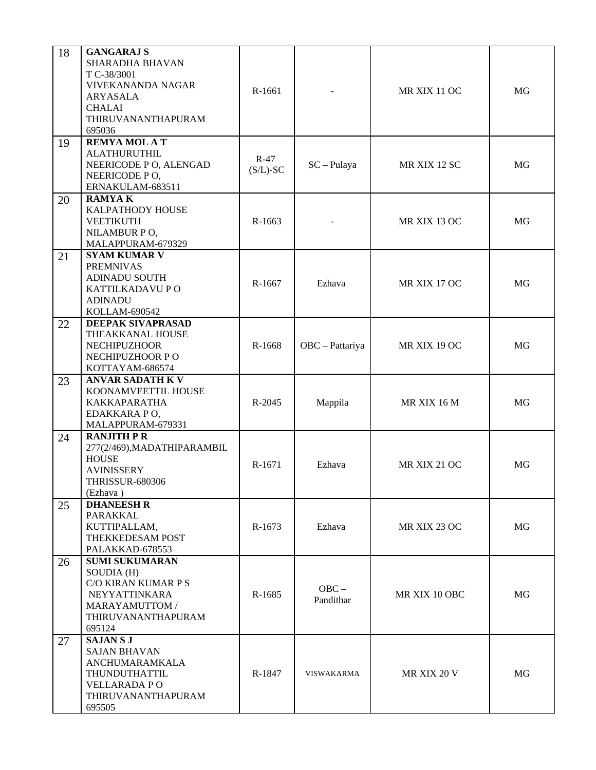| 18<br>19 | <b>GANGARAJ S</b><br><b>SHARADHA BHAVAN</b><br>T C-38/3001<br><b>VIVEKANANDA NAGAR</b><br>ARYASALA<br><b>CHALAI</b><br>THIRUVANANTHAPURAM<br>695036<br><b>REMYA MOL A T</b> | R-1661                |                      | MR XIX 11 OC        | MG |
|----------|-----------------------------------------------------------------------------------------------------------------------------------------------------------------------------|-----------------------|----------------------|---------------------|----|
|          | <b>ALATHURUTHIL</b><br>NEERICODE P O, ALENGAD<br>NEERICODE PO,<br>ERNAKULAM-683511                                                                                          | $R-47$<br>$(S/L)$ -SC | $SC - Pulaya$        | MR XIX 12 SC        | MG |
| 20       | <b>RAMYAK</b><br>KALPATHODY HOUSE<br><b>VEETIKUTH</b><br>NILAMBUR PO,<br>MALAPPURAM-679329                                                                                  | R-1663                |                      | MR XIX 13 OC        | MG |
| 21       | <b>SYAM KUMAR V</b><br><b>PREMNIVAS</b><br><b>ADINADU SOUTH</b><br>KATTILKADAVU PO<br><b>ADINADU</b><br>KOLLAM-690542                                                       | R-1667                | Ezhava               | MR XIX 17 OC        | MG |
| 22       | <b>DEEPAK SIVAPRASAD</b><br>THEAKKANAL HOUSE<br><b>NECHIPUZHOOR</b><br>NECHIPUZHOOR PO<br>KOTTAYAM-686574                                                                   | R-1668                | OBC - Pattariya      | MR XIX 19 OC        | MG |
| 23       | <b>ANVAR SADATH K V</b><br>KOONAMVEETTIL HOUSE<br>KAKKAPARATHA<br>EDAKKARA PO,<br>MALAPPURAM-679331                                                                         | R-2045                | Mappila              | MR XIX 16 M         | MG |
| 24       | <b>RANJITH P R</b><br>277(2/469), MADATHIPARAMBIL<br><b>HOUSE</b><br><b>AVINISSERY</b><br><b>THRISSUR-680306</b><br>(Ezhava)                                                | R-1671                | Ezhava               | <b>MR XIX 21 OC</b> | MG |
| 25       | <b>DHANEESH R</b><br>PARAKKAL<br>KUTTIPALLAM,<br>THEKKEDESAM POST<br>PALAKKAD-678553                                                                                        | R-1673                | Ezhava               | MR XIX 23 OC        | MG |
| 26       | <b>SUMI SUKUMARAN</b><br>SOUDIA (H)<br><b>C/O KIRAN KUMAR P S</b><br>NEYYATTINKARA<br>MARAYAMUTTOM /<br>THIRUVANANTHAPURAM<br>695124                                        | R-1685                | $OBC -$<br>Pandithar | MR XIX 10 OBC       | MG |
| 27       | <b>SAJANSJ</b><br><b>SAJAN BHAVAN</b><br>ANCHUMARAMKALA<br>THUNDUTHATTIL<br><b>VELLARADA PO</b><br>THIRUVANANTHAPURAM<br>695505                                             | R-1847                | <b>VISWAKARMA</b>    | <b>MR XIX 20 V</b>  | MG |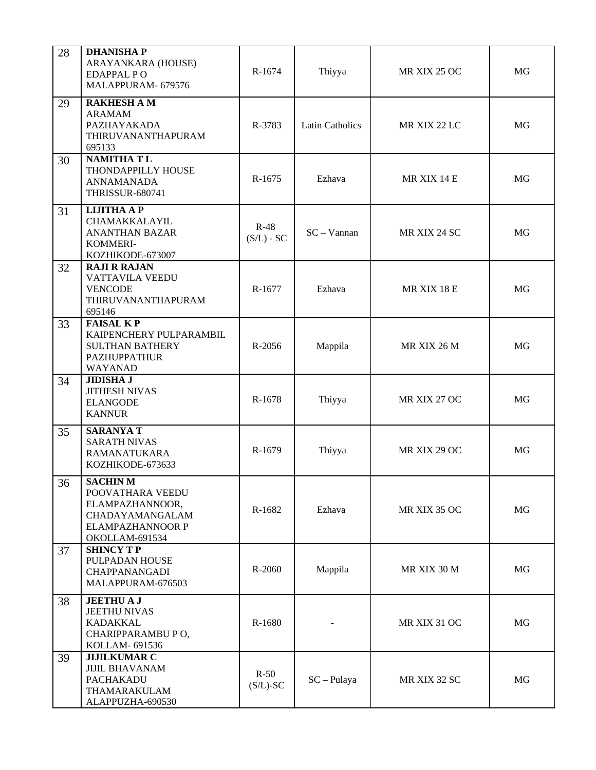| 28 | <b>DHANISHAP</b><br>ARAYANKARA (HOUSE)<br><b>EDAPPAL PO</b><br>MALAPPURAM- 679576                              | R-1674                 | Thiyya                 | MR XIX 25 OC | <b>MG</b> |
|----|----------------------------------------------------------------------------------------------------------------|------------------------|------------------------|--------------|-----------|
| 29 | <b>RAKHESH A M</b><br><b>ARAMAM</b><br>PAZHAYAKADA<br>THIRUVANANTHAPURAM<br>695133                             | R-3783                 | <b>Latin Catholics</b> | MR XIX 22 LC | MG        |
| 30 | <b>NAMITHATL</b><br>THONDAPPILLY HOUSE<br><b>ANNAMANADA</b><br><b>THRISSUR-680741</b>                          | R-1675                 | Ezhava                 | MR XIX 14 E  | MG        |
| 31 | <b>LIJITHA A P</b><br>CHAMAKKALAYIL<br><b>ANANTHAN BAZAR</b><br>KOMMERI-<br>KOZHIKODE-673007                   | $R-48$<br>$(S/L)$ - SC | $SC - Vannan$          | MR XIX 24 SC | MG        |
| 32 | <b>RAJI R RAJAN</b><br><b>VATTAVILA VEEDU</b><br><b>VENCODE</b><br>THIRUVANANTHAPURAM<br>695146                | R-1677                 | Ezhava                 | MR XIX 18 E  | MG        |
| 33 | <b>FAISAL KP</b><br>KAIPENCHERY PULPARAMBIL<br><b>SULTHAN BATHERY</b><br><b>PAZHUPPATHUR</b><br>WAYANAD        | R-2056                 | Mappila                | MR XIX 26 M  | MG        |
| 34 | <b>JIDISHA J</b><br><b>JITHESH NIVAS</b><br><b>ELANGODE</b><br><b>KANNUR</b>                                   | R-1678                 | Thiyya                 | MR XIX 27 OC | MG        |
| 35 | <b>SARANYA T</b><br><b>SARATH NIVAS</b><br><b>RAMANATUKARA</b><br>KOZHIKODE-673633                             | R-1679                 | Thiyya                 | MR XIX 29 OC | MG        |
| 36 | <b>SACHINM</b><br>POOVATHARA VEEDU<br>ELAMPAZHANNOOR,<br>CHADAYAMANGALAM<br>ELAMPAZHANNOOR P<br>OKOLLAM-691534 | R-1682                 | Ezhava                 | MR XIX 35 OC | MG        |
| 37 | <b>SHINCY TP</b><br>PULPADAN HOUSE<br>CHAPPANANGADI<br>MALAPPURAM-676503                                       | R-2060                 | Mappila                | MR XIX 30 M  | MG        |
| 38 | <b>JEETHUAJ</b><br><b>JEETHU NIVAS</b><br><b>KADAKKAL</b><br>CHARIPPARAMBU PO,<br>KOLLAM- 691536               | R-1680                 |                        | MR XIX 31 OC | MG        |
| 39 | <b>JIJILKUMAR C</b><br><b>JIJIL BHAVANAM</b><br>PACHAKADU<br>THAMARAKULAM<br>ALAPPUZHA-690530                  | $R-50$<br>$(S/L)$ -SC  | $SC - Pulaya$          | MR XIX 32 SC | MG        |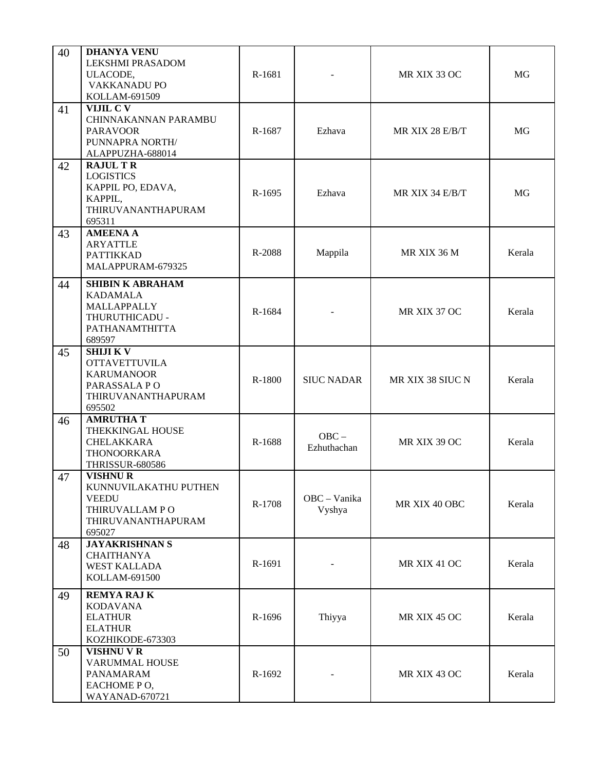| 40 | <b>DHANYA VENU</b><br><b>LEKSHMI PRASADOM</b><br>ULACODE,<br>VAKKANADU PO<br>KOLLAM-691509                  | R-1681 |                        | MR XIX 33 OC     | MG     |
|----|-------------------------------------------------------------------------------------------------------------|--------|------------------------|------------------|--------|
| 41 | VIJIL C V<br>CHINNAKANNAN PARAMBU<br><b>PARAVOOR</b><br>PUNNAPRA NORTH/<br>ALAPPUZHA-688014                 | R-1687 | Ezhava                 | MR XIX 28 E/B/T  | MG     |
| 42 | <b>RAJUL TR</b><br><b>LOGISTICS</b><br>KAPPIL PO, EDAVA,<br>KAPPIL,<br>THIRUVANANTHAPURAM<br>695311         | R-1695 | Ezhava                 | MR XIX 34 E/B/T  | MG     |
| 43 | <b>AMEENA A</b><br><b>ARYATTLE</b><br><b>PATTIKKAD</b><br>MALAPPURAM-679325                                 | R-2088 | Mappila                | MR XIX 36 M      | Kerala |
| 44 | <b>SHIBIN K ABRAHAM</b><br><b>KADAMALA</b><br>MALLAPPALLY<br>THURUTHICADU -<br>PATHANAMTHITTA<br>689597     | R-1684 |                        | MR XIX 37 OC     | Kerala |
| 45 | <b>SHIJIKV</b><br><b>OTTAVETTUVILA</b><br><b>KARUMANOOR</b><br>PARASSALA PO<br>THIRUVANANTHAPURAM<br>695502 | R-1800 | <b>SIUC NADAR</b>      | MR XIX 38 SIUC N | Kerala |
| 46 | <b>AMRUTHA T</b><br>THEKKINGAL HOUSE<br>CHELAKKARA<br>THONOORKARA<br><b>THRISSUR-680586</b>                 | R-1688 | $OBC -$<br>Ezhuthachan | MR XIX 39 OC     | Kerala |
| 47 | <b>VISHNUR</b><br>KUNNUVILAKATHU PUTHEN<br><b>VEEDU</b><br>THIRUVALLAM PO<br>THIRUVANANTHAPURAM<br>695027   | R-1708 | OBC - Vanika<br>Vyshya | MR XIX 40 OBC    | Kerala |
| 48 | <b>JAYAKRISHNAN S</b><br><b>CHAITHANYA</b><br><b>WEST KALLADA</b><br>KOLLAM-691500                          | R-1691 |                        | MR XIX 41 OC     | Kerala |
| 49 | <b>REMYA RAJ K</b><br><b>KODAVANA</b><br><b>ELATHUR</b><br><b>ELATHUR</b><br>KOZHIKODE-673303               | R-1696 | Thiyya                 | MR XIX 45 OC     | Kerala |
| 50 | <b>VISHNU V R</b><br><b>VARUMMAL HOUSE</b><br>PANAMARAM<br>EACHOME PO,<br>WAYANAD-670721                    | R-1692 |                        | MR XIX 43 OC     | Kerala |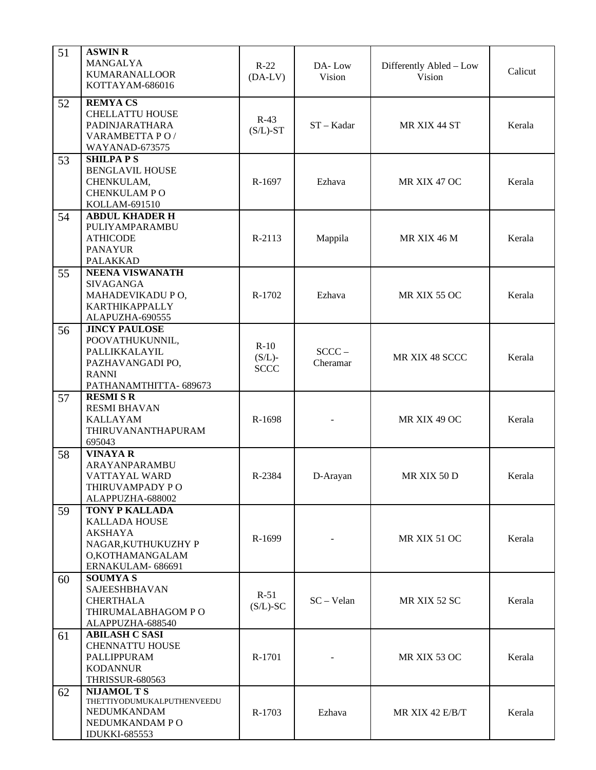| 51 | <b>ASWIN R</b><br>MANGALYA<br><b>KUMARANALLOOR</b><br>KOTTAYAM-686016                                                         | $R-22$<br>$(DA-LV)$                | DA-Low<br>Vision     | Differently Abled - Low<br>Vision | Calicut |
|----|-------------------------------------------------------------------------------------------------------------------------------|------------------------------------|----------------------|-----------------------------------|---------|
| 52 | <b>REMYACS</b><br><b>CHELLATTU HOUSE</b><br>PADINJARATHARA<br>VARAMBETTA PO/<br>WAYANAD-673575                                | $R-43$<br>$(S/L)$ -ST              | $ST - Kadar$         | MR XIX 44 ST                      | Kerala  |
| 53 | <b>SHILPAPS</b><br><b>BENGLAVIL HOUSE</b><br>CHENKULAM,<br><b>CHENKULAM PO</b><br>KOLLAM-691510                               | R-1697                             | Ezhava               | MR XIX 47 OC                      | Kerala  |
| 54 | <b>ABDUL KHADER H</b><br>PULIYAMPARAMBU<br><b>ATHICODE</b><br><b>PANAYUR</b><br><b>PALAKKAD</b>                               | R-2113                             | Mappila              | MR XIX 46 M                       | Kerala  |
| 55 | <b>NEENA VISWANATH</b><br><b>SIVAGANGA</b><br>MAHADEVIKADU PO,<br><b>KARTHIKAPPALLY</b><br>ALAPUZHA-690555                    | R-1702                             | Ezhava               | MR XIX 55 OC                      | Kerala  |
| 56 | <b>JINCY PAULOSE</b><br>POOVATHUKUNNIL,<br>PALLIKKALAYIL<br>PAZHAVANGADI PO,<br><b>RANNI</b><br>PATHANAMTHITTA-689673         | $R-10$<br>$(S/L)$ -<br><b>SCCC</b> | $SCCC -$<br>Cheramar | MR XIX 48 SCCC                    | Kerala  |
| 57 | <b>RESMI S R</b><br><b>RESMI BHAVAN</b><br><b>KALLAYAM</b><br>THIRUVANANTHAPURAM<br>695043                                    | R-1698                             |                      | MR XIX 49 OC                      | Kerala  |
| 58 | <b>VINAYA R</b><br>ARAYANPARAMBU<br>VATTAYAL WARD<br>THIRUVAMPADY PO<br>ALAPPUZHA-688002                                      | R-2384                             | D-Arayan             | MR XIX 50 D                       | Kerala  |
| 59 | <b>TONY P KALLADA</b><br><b>KALLADA HOUSE</b><br><b>AKSHAYA</b><br>NAGAR, KUTHUKUZHY P<br>O,KOTHAMANGALAM<br>ERNAKULAM-686691 | R-1699                             |                      | MR XIX 51 OC                      | Kerala  |
| 60 | <b>SOUMYAS</b><br>SAJEESHBHAVAN<br><b>CHERTHALA</b><br>THIRUMALABHAGOM PO<br>ALAPPUZHA-688540                                 | $R-51$<br>$(S/L)$ -SC              | $SC - Velan$         | MR XIX 52 SC                      | Kerala  |
| 61 | <b>ABILASH C SASI</b><br><b>CHENNATTU HOUSE</b><br>PALLIPPURAM<br><b>KODANNUR</b><br><b>THRISSUR-680563</b>                   | R-1701                             |                      | MR XIX 53 OC                      | Kerala  |
| 62 | <b>NIJAMOL T S</b><br>THETTIYODUMUKALPUTHENVEEDU<br>NEDUMKANDAM<br>NEDUMKANDAM PO<br><b>IDUKKI-685553</b>                     | R-1703                             | Ezhava               | MR XIX 42 E/B/T                   | Kerala  |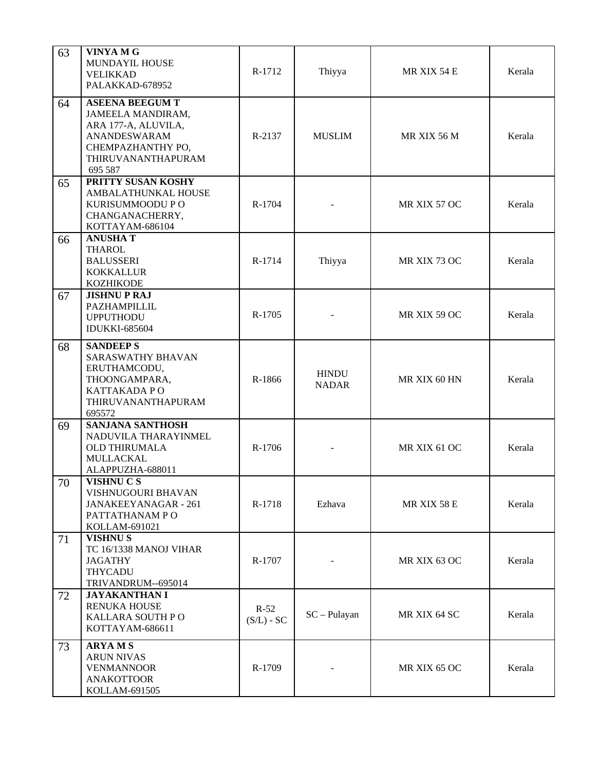| 63 | <b>VINYA M G</b><br>MUNDAYIL HOUSE<br><b>VELIKKAD</b><br>PALAKKAD-678952                                                                        | R-1712                 | Thiyya                       | MR XIX 54 E  | Kerala |
|----|-------------------------------------------------------------------------------------------------------------------------------------------------|------------------------|------------------------------|--------------|--------|
| 64 | <b>ASEENA BEEGUM T</b><br>JAMEELA MANDIRAM,<br>ARA 177-A, ALUVILA,<br><b>ANANDESWARAM</b><br>CHEMPAZHANTHY PO,<br>THIRUVANANTHAPURAM<br>695 587 | R-2137                 | <b>MUSLIM</b>                | MR XIX 56 M  | Kerala |
| 65 | PRITTY SUSAN KOSHY<br>AMBALATHUNKAL HOUSE<br>KURISUMMOODU P O<br>CHANGANACHERRY,<br>KOTTAYAM-686104                                             | R-1704                 |                              | MR XIX 57 OC | Kerala |
| 66 | <b>ANUSHAT</b><br><b>THAROL</b><br><b>BALUSSERI</b><br><b>KOKKALLUR</b><br><b>KOZHIKODE</b>                                                     | R-1714                 | Thiyya                       | MR XIX 73 OC | Kerala |
| 67 | <b>JISHNUPRAJ</b><br>PAZHAMPILLIL<br><b>UPPUTHODU</b><br><b>IDUKKI-685604</b>                                                                   | R-1705                 |                              | MR XIX 59 OC | Kerala |
| 68 | <b>SANDEEP S</b><br><b>SARASWATHY BHAVAN</b><br>ERUTHAMCODU,<br>THOONGAMPARA,<br>KATTAKADA PO<br>THIRUVANANTHAPURAM<br>695572                   | R-1866                 | <b>HINDU</b><br><b>NADAR</b> | MR XIX 60 HN | Kerala |
| 69 | <b>SANJANA SANTHOSH</b><br>NADUVILA THARAYINMEL<br><b>OLD THIRUMALA</b><br>MULLACKAL<br>ALAPPUZHA-688011                                        | R-1706                 |                              | MR XIX 61 OC | Kerala |
| 70 | VISHNU C S<br>VISHNUGOURI BHAVAN<br>JANAKEEYANAGAR - 261<br>PATTATHANAM PO<br>KOLLAM-691021                                                     | R-1718                 | Ezhava                       | MR XIX 58 E  | Kerala |
| 71 | <b>VISHNUS</b><br>TC 16/1338 MANOJ VIHAR<br>JAGATHY<br><b>THYCADU</b><br>TRIVANDRUM--695014                                                     | R-1707                 |                              | MR XIX 63 OC | Kerala |
| 72 | <b>JAYAKANTHAN I</b><br>RENUKA HOUSE<br>KALLARA SOUTH PO<br>KOTTAYAM-686611                                                                     | $R-52$<br>$(S/L)$ - SC | $SC - Pulayan$               | MR XIX 64 SC | Kerala |
| 73 | <b>ARYAMS</b><br><b>ARUN NIVAS</b><br><b>VENMANNOOR</b><br><b>ANAKOTTOOR</b><br>KOLLAM-691505                                                   | R-1709                 |                              | MR XIX 65 OC | Kerala |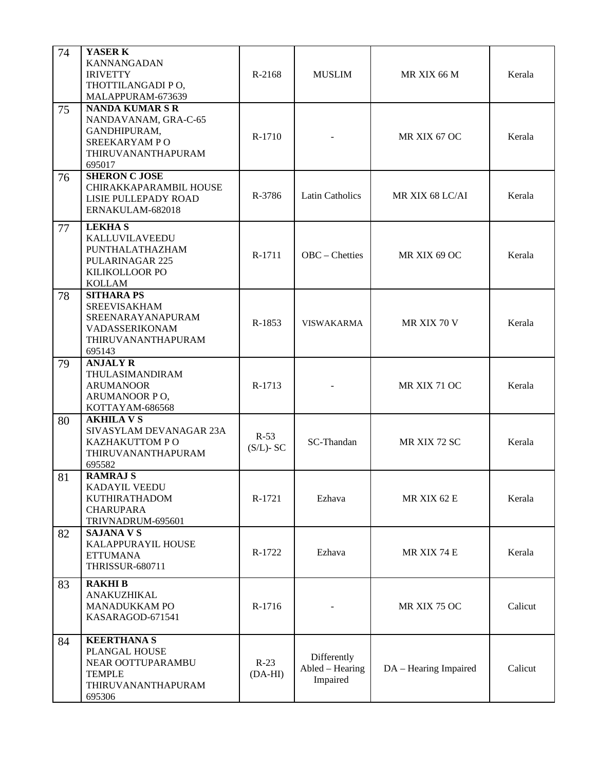| 74 | YASER K<br><b>KANNANGADAN</b><br><b>IRIVETTY</b><br>THOTTILANGADI PO,<br>MALAPPURAM-673639                      | R-2168                 | <b>MUSLIM</b>                                                       | MR XIX 66 M     | Kerala  |
|----|-----------------------------------------------------------------------------------------------------------------|------------------------|---------------------------------------------------------------------|-----------------|---------|
| 75 | <b>NANDA KUMAR S R</b><br>NANDAVANAM, GRA-C-65<br>GANDHIPURAM,<br>SREEKARYAM PO<br>THIRUVANANTHAPURAM<br>695017 | R-1710                 |                                                                     | MR XIX 67 OC    | Kerala  |
| 76 | <b>SHERON C JOSE</b><br>CHIRAKKAPARAMBIL HOUSE<br>LISIE PULLEPADY ROAD<br>ERNAKULAM-682018                      | R-3786                 | <b>Latin Catholics</b>                                              | MR XIX 68 LC/AI | Kerala  |
| 77 | <b>LEKHAS</b><br>KALLUVILAVEEDU<br>PUNTHALATHAZHAM<br><b>PULARINAGAR 225</b><br>KILIKOLLOOR PO<br><b>KOLLAM</b> | R-1711                 | OBC - Chetties                                                      | MR XIX 69 OC    | Kerala  |
| 78 | <b>SITHARA PS</b><br><b>SREEVISAKHAM</b><br>SREENARAYANAPURAM<br>VADASSERIKONAM<br>THIRUVANANTHAPURAM<br>695143 | R-1853                 | <b>VISWAKARMA</b>                                                   | MR XIX 70 V     | Kerala  |
| 79 | <b>ANJALY R</b><br>THULASIMANDIRAM<br><b>ARUMANOOR</b><br>ARUMANOOR PO,<br>KOTTAYAM-686568                      | R-1713                 |                                                                     | MR XIX 71 OC    | Kerala  |
| 80 | <b>AKHILA V S</b><br>SIVASYLAM DEVANAGAR 23A<br>KAZHAKUTTOM PO<br>THIRUVANANTHAPURAM<br>695582                  | $R-53$<br>$(S/L)$ - SC | SC-Thandan                                                          | MR XIX 72 SC    | Kerala  |
| 81 | <b>RAMRAJ S</b><br>KADAYIL VEEDU<br><b>KUTHIRATHADOM</b><br><b>CHARUPARA</b><br>TRIVNADRUM-695601               | R-1721                 | Ezhava                                                              | MR XIX 62 E     | Kerala  |
| 82 | <b>SAJANA V S</b><br>KALAPPURAYIL HOUSE<br><b>ETTUMANA</b><br><b>THRISSUR-680711</b>                            | R-1722                 | Ezhava                                                              | MR XIX 74 E     | Kerala  |
| 83 | <b>RAKHIB</b><br>ANAKUZHIKAL<br>MANADUKKAM PO<br>KASARAGOD-671541                                               | R-1716                 |                                                                     | MR XIX 75 OC    |         |
| 84 | <b>KEERTHANA S</b><br>PLANGAL HOUSE<br>NEAR OOTTUPARAMBU<br><b>TEMPLE</b><br>THIRUVANANTHAPURAM<br>695306       | $R-23$<br>$(DA-HI)$    | Differently<br>Abled - Hearing<br>DA - Hearing Impaired<br>Impaired |                 | Calicut |